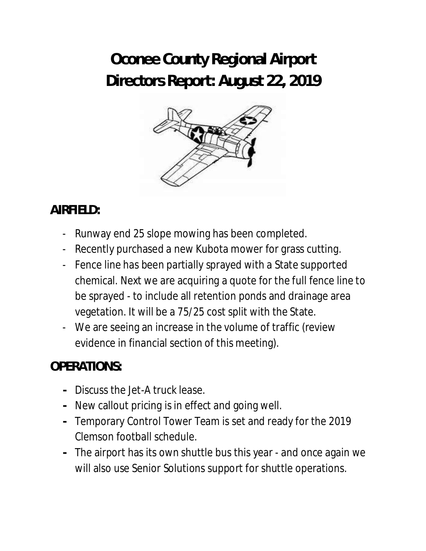# **Oconee County Regional Airport Directors Report: August 22, 2019**



# **AIRFIELD:**

- Runway end 25 slope mowing has been completed.
- Recently purchased a new Kubota mower for grass cutting.
- Fence line has been partially sprayed with a State supported chemical. Next we are acquiring a quote for the full fence line to be sprayed - to include all retention ponds and drainage area vegetation. It will be a 75/25 cost split with the State.
- We are seeing an increase in the volume of traffic (review evidence in financial section of this meeting).

## **OPERATIONS:**

- **-** Discuss the Jet-A truck lease.
- **-** New callout pricing is in effect and going well.
- **-** Temporary Control Tower Team is set and ready for the 2019 Clemson football schedule.
- **-** The airport has its own shuttle bus this year and once again we will also use Senior Solutions support for shuttle operations.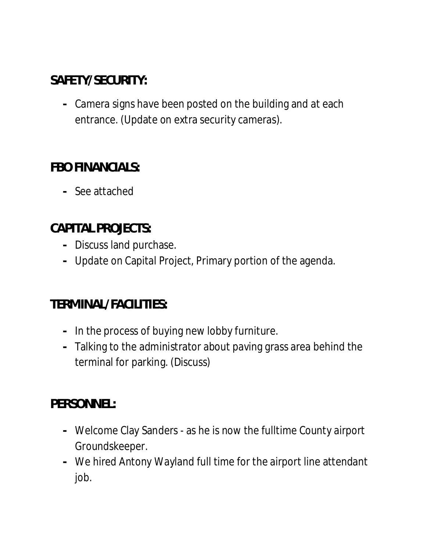# **SAFETY/SECURITY:**

**-** Camera signs have been posted on the building and at each entrance. (Update on extra security cameras).

#### **FBO FINANCIALS:**

**-** See attached

## **CAPITAL PROJECTS:**

- **-** Discuss land purchase.
- **-** Update on Capital Project, Primary portion of the agenda.

## **TERMINAL/FACILITIES:**

- **-** In the process of buying new lobby furniture.
- **-** Talking to the administrator about paving grass area behind the terminal for parking. (Discuss)

#### **PERSONNEL:**

- **-** Welcome Clay Sanders as he is now the fulltime County airport Groundskeeper.
- **-** We hired Antony Wayland full time for the airport line attendant job.